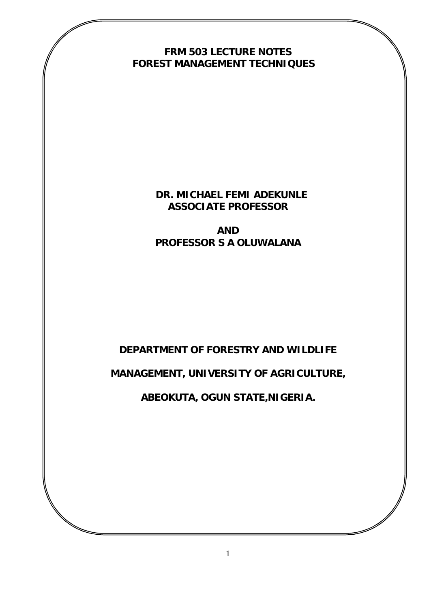**FRM 503 LECTURE NOTES FOREST MANAGEMENT TECHNIQUES**

> **DR. MICHAEL FEMI ADEKUNLE ASSOCIATE PROFESSOR**

**AND PROFESSOR S A OLUWALANA**

# **DEPARTMENT OF FORESTRY AND WILDLIFE**

**MANAGEMENT, UNIVERSITY OF AGRICULTURE,** 

**ABEOKUTA, OGUN STATE,NIGERIA.**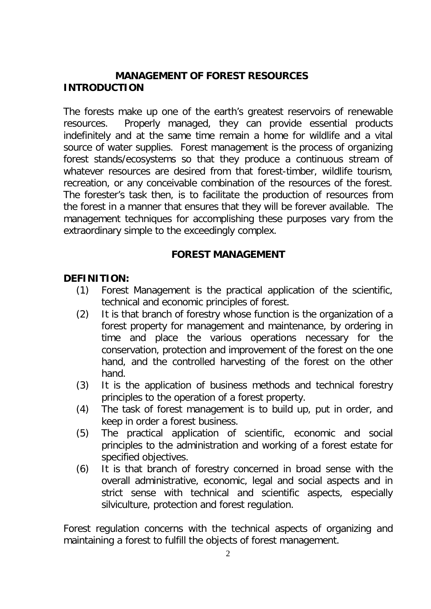### **MANAGEMENT OF FOREST RESOURCES INTRODUCTION**

The forests make up one of the earth's greatest reservoirs of renewable resources. Properly managed, they can provide essential products indefinitely and at the same time remain a home for wildlife and a vital source of water supplies. Forest management is the process of organizing forest stands/ecosystems so that they produce a continuous stream of whatever resources are desired from that forest-timber, wildlife tourism, recreation, or any conceivable combination of the resources of the forest. The forester's task then, is to facilitate the production of resources from the forest in a manner that ensures that they will be forever available. The management techniques for accomplishing these purposes vary from the extraordinary simple to the exceedingly complex.

### **FOREST MANAGEMENT**

### **DEFINITION:**

- (1) Forest Management is the practical application of the scientific, technical and economic principles of forest.
- (2) It is that branch of forestry whose function is the organization of a forest property for management and maintenance, by ordering in time and place the various operations necessary for the conservation, protection and improvement of the forest on the one hand, and the controlled harvesting of the forest on the other hand.
- (3) It is the application of business methods and technical forestry principles to the operation of a forest property.
- (4) The task of forest management is to build up, put in order, and keep in order a forest business.
- (5) The practical application of scientific, economic and social principles to the administration and working of a forest estate for specified objectives.
- (6) It is that branch of forestry concerned in broad sense with the overall administrative, economic, legal and social aspects and in strict sense with technical and scientific aspects, especially silviculture, protection and forest regulation.

Forest regulation concerns with the technical aspects of organizing and maintaining a forest to fulfill the objects of forest management.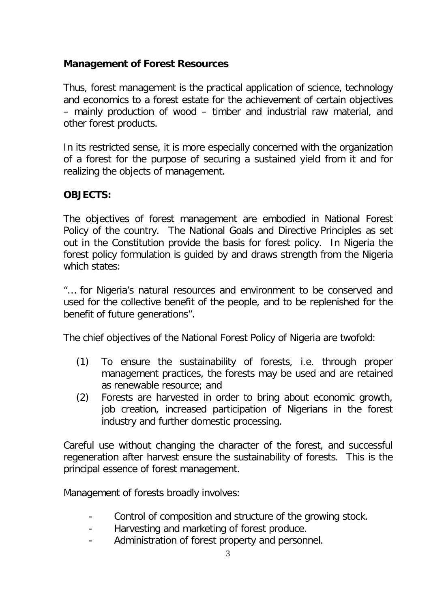## **Management of Forest Resources**

Thus, forest management is the practical application of science, technology and economics to a forest estate for the achievement of certain objectives – mainly production of wood – timber and industrial raw material, and other forest products.

In its restricted sense, it is more especially concerned with the organization of a forest for the purpose of securing a sustained yield from it and for realizing the objects of management.

# **OBJECTS:**

The objectives of forest management are embodied in National Forest Policy of the country. The National Goals and Directive Principles as set out in the Constitution provide the basis for forest policy. In Nigeria the forest policy formulation is guided by and draws strength from the Nigeria which states:

"… for Nigeria's natural resources and environment to be conserved and used for the collective benefit of the people, and to be replenished for the benefit of future generations".

The chief objectives of the National Forest Policy of Nigeria are twofold:

- (1) To ensure the sustainability of forests, i.e. through proper management practices, the forests may be used and are retained as renewable resource; and
- (2) Forests are harvested in order to bring about economic growth, job creation, increased participation of Nigerians in the forest industry and further domestic processing.

Careful use without changing the character of the forest, and successful regeneration after harvest ensure the sustainability of forests. This is the principal essence of forest management.

Management of forests broadly involves:

- Control of composition and structure of the growing stock.
- Harvesting and marketing of forest produce.
- Administration of forest property and personnel.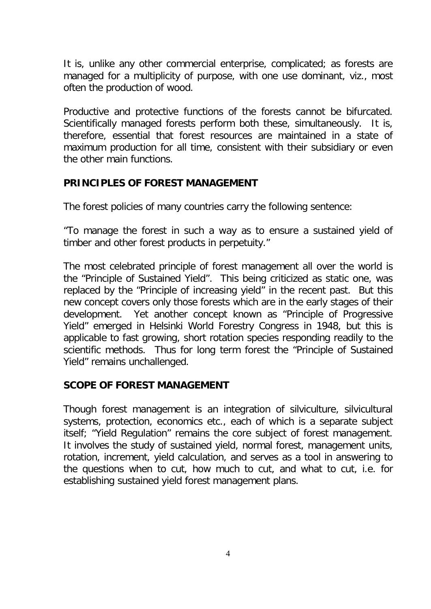It is, unlike any other commercial enterprise, complicated; as forests are managed for a multiplicity of purpose, with one use dominant, viz., most often the production of wood.

Productive and protective functions of the forests cannot be bifurcated. Scientifically managed forests perform both these, simultaneously. It is, therefore, essential that forest resources are maintained in a state of maximum production for all time, consistent with their subsidiary or even the other main functions.

### **PRINCIPLES OF FOREST MANAGEMENT**

The forest policies of many countries carry the following sentence:

"To manage the forest in such a way as to ensure a sustained yield of timber and other forest products in perpetuity."

The most celebrated principle of forest management all over the world is the "Principle of Sustained Yield". This being criticized as static one, was replaced by the "Principle of increasing yield" in the recent past. But this new concept covers only those forests which are in the early stages of their development. Yet another concept known as "Principle of Progressive Yield" emerged in Helsinki World Forestry Congress in 1948, but this is applicable to fast growing, short rotation species responding readily to the scientific methods. Thus for long term forest the "Principle of Sustained Yield" remains unchallenged.

## **SCOPE OF FOREST MANAGEMENT**

Though forest management is an integration of silviculture, silvicultural systems, protection, economics etc., each of which is a separate subject itself; "Yield Regulation" remains the core subject of forest management. It involves the study of sustained yield, normal forest, management units, rotation, increment, yield calculation, and serves as a tool in answering to the questions when to cut, how much to cut, and what to cut, i.e. for establishing sustained yield forest management plans.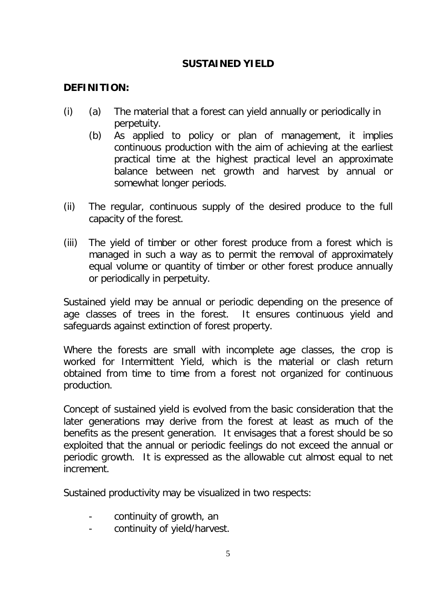## **SUSTAINED YIELD**

## **DEFINITION:**

- (i) (a) The material that a forest can yield annually or periodically in perpetuity.
	- (b) As applied to policy or plan of management, it implies continuous production with the aim of achieving at the earliest practical time at the highest practical level an approximate balance between net growth and harvest by annual or somewhat longer periods.
- (ii) The regular, continuous supply of the desired produce to the full capacity of the forest.
- (iii) The yield of timber or other forest produce from a forest which is managed in such a way as to permit the removal of approximately equal volume or quantity of timber or other forest produce annually or periodically in perpetuity.

Sustained yield may be annual or periodic depending on the presence of age classes of trees in the forest. It ensures continuous yield and safeguards against extinction of forest property.

Where the forests are small with incomplete age classes, the crop is worked for Intermittent Yield, which is the material or clash return obtained from time to time from a forest not organized for continuous production.

Concept of sustained yield is evolved from the basic consideration that the later generations may derive from the forest at least as much of the benefits as the present generation. It envisages that a forest should be so exploited that the annual or periodic feelings do not exceed the annual or periodic growth. It is expressed as the allowable cut almost equal to net increment.

Sustained productivity may be visualized in two respects:

- continuity of growth, an
- continuity of yield/harvest.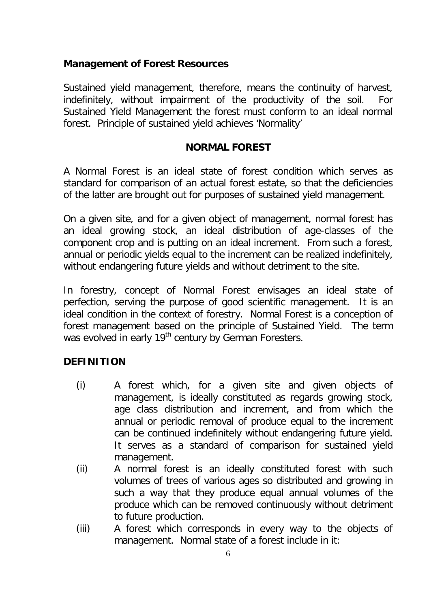### **Management of Forest Resources**

Sustained yield management, therefore, means the continuity of harvest, indefinitely, without impairment of the productivity of the soil. For Sustained Yield Management the forest must conform to an ideal normal forest. Principle of sustained yield achieves 'Normality'

### **NORMAL FOREST**

A Normal Forest is an ideal state of forest condition which serves as standard for comparison of an actual forest estate, so that the deficiencies of the latter are brought out for purposes of sustained yield management.

On a given site, and for a given object of management, normal forest has an ideal growing stock, an ideal distribution of age-classes of the component crop and is putting on an ideal increment. From such a forest, annual or periodic yields equal to the increment can be realized indefinitely, without endangering future yields and without detriment to the site.

In forestry, concept of Normal Forest envisages an ideal state of perfection, serving the purpose of good scientific management. It is an ideal condition in the context of forestry. Normal Forest is a conception of forest management based on the principle of Sustained Yield. The term was evolved in early 19<sup>th</sup> century by German Foresters.

### **DEFINITION**

- (i) A forest which, for a given site and given objects of management, is ideally constituted as regards growing stock, age class distribution and increment, and from which the annual or periodic removal of produce equal to the increment can be continued indefinitely without endangering future yield. It serves as a standard of comparison for sustained yield management.
- (ii) A normal forest is an ideally constituted forest with such volumes of trees of various ages so distributed and growing in such a way that they produce equal annual volumes of the produce which can be removed continuously without detriment to future production.
- (iii) A forest which corresponds in every way to the objects of management. Normal state of a forest include in it: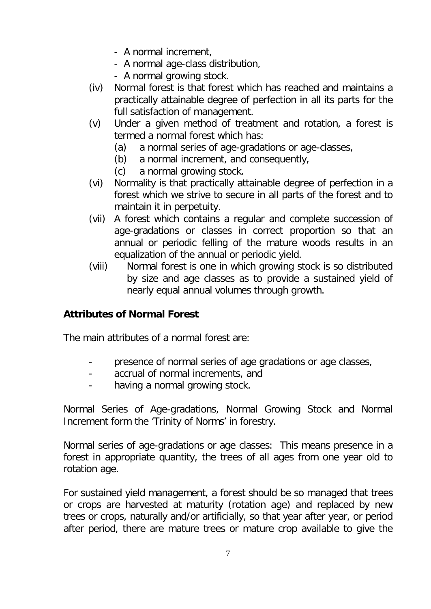- A normal increment,
- A normal age-class distribution,
- A normal growing stock.
- (iv) Normal forest is that forest which has reached and maintains a practically attainable degree of perfection in all its parts for the full satisfaction of management.
- (v) Under a given method of treatment and rotation, a forest is termed a normal forest which has:
	- (a) a normal series of age-gradations or age-classes,
	- (b) a normal increment, and consequently,
	- (c) a normal growing stock.
- (vi) Normality is that practically attainable degree of perfection in a forest which we strive to secure in all parts of the forest and to maintain it in perpetuity.
- (vii) A forest which contains a regular and complete succession of age-gradations or classes in correct proportion so that an annual or periodic felling of the mature woods results in an equalization of the annual or periodic yield.
- (viii) Normal forest is one in which growing stock is so distributed by size and age classes as to provide a sustained yield of nearly equal annual volumes through growth.

# **Attributes of Normal Forest**

The main attributes of a normal forest are:

- presence of normal series of age gradations or age classes,
- accrual of normal increments, and
- having a normal growing stock.

Normal Series of Age-gradations, Normal Growing Stock and Normal Increment form the 'Trinity of Norms' in forestry.

Normal series of age-gradations or age classes: This means presence in a forest in appropriate quantity, the trees of all ages from one year old to rotation age.

For sustained yield management, a forest should be so managed that trees or crops are harvested at maturity (rotation age) and replaced by new trees or crops, naturally and/or artificially, so that year after year, or period after period, there are mature trees or mature crop available to give the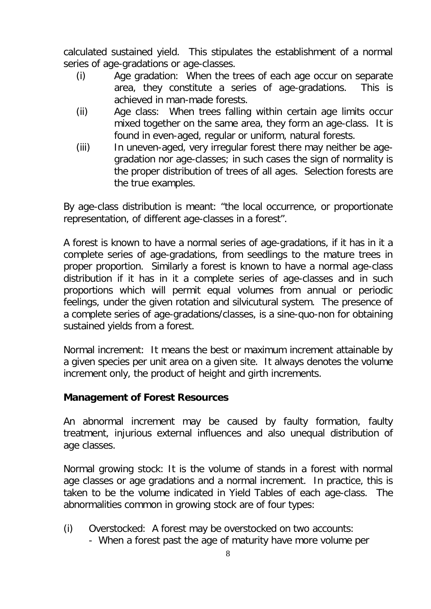calculated sustained yield. This stipulates the establishment of a normal series of age-gradations or age-classes.

- (i) Age gradation: When the trees of each age occur on separate area, they constitute a series of age-gradations. This is achieved in man-made forests.
- (ii) Age class: When trees falling within certain age limits occur mixed together on the same area, they form an age-class. It is found in even-aged, regular or uniform, natural forests.
- (iii) In uneven-aged, very irregular forest there may neither be agegradation nor age-classes; in such cases the sign of normality is the proper distribution of trees of all ages. Selection forests are the true examples.

By age-class distribution is meant: "the local occurrence, or proportionate representation, of different age-classes in a forest".

A forest is known to have a normal series of age-gradations, if it has in it a complete series of age-gradations, from seedlings to the mature trees in proper proportion. Similarly a forest is known to have a normal age-class distribution if it has in it a complete series of age-classes and in such proportions which will permit equal volumes from annual or periodic feelings, under the given rotation and silvicutural system. The presence of a complete series of age-gradations/classes, is a sine-quo-non for obtaining sustained yields from a forest.

Normal increment: It means the best or maximum increment attainable by a given species per unit area on a given site. It always denotes the volume increment only, the product of height and girth increments.

### **Management of Forest Resources**

An abnormal increment may be caused by faulty formation, faulty treatment, injurious external influences and also unequal distribution of age classes.

Normal growing stock: It is the volume of stands in a forest with normal age classes or age gradations and a normal increment. In practice, this is taken to be the volume indicated in Yield Tables of each age-class. The abnormalities common in growing stock are of four types:

- (i) Overstocked: A forest may be overstocked on two accounts:
	- When a forest past the age of maturity have more volume per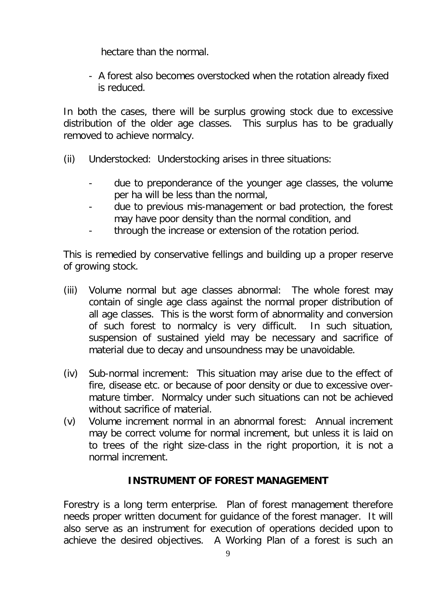hectare than the normal.

- A forest also becomes overstocked when the rotation already fixed is reduced.

In both the cases, there will be surplus growing stock due to excessive distribution of the older age classes. This surplus has to be gradually removed to achieve normalcy.

- (ii) Understocked: Understocking arises in three situations:
	- due to preponderance of the younger age classes, the volume per ha will be less than the normal,
	- due to previous mis-management or bad protection, the forest may have poor density than the normal condition, and
	- through the increase or extension of the rotation period.

This is remedied by conservative fellings and building up a proper reserve of growing stock.

- (iii) Volume normal but age classes abnormal: The whole forest may contain of single age class against the normal proper distribution of all age classes. This is the worst form of abnormality and conversion of such forest to normalcy is very difficult. In such situation, suspension of sustained yield may be necessary and sacrifice of material due to decay and unsoundness may be unavoidable.
- (iv) Sub-normal increment: This situation may arise due to the effect of fire, disease etc. or because of poor density or due to excessive overmature timber. Normalcy under such situations can not be achieved without sacrifice of material.
- (v) Volume increment normal in an abnormal forest: Annual increment may be correct volume for normal increment, but unless it is laid on to trees of the right size-class in the right proportion, it is not a normal increment.

## **INSTRUMENT OF FOREST MANAGEMENT**

Forestry is a long term enterprise. Plan of forest management therefore needs proper written document for guidance of the forest manager. It will also serve as an instrument for execution of operations decided upon to achieve the desired objectives. A Working Plan of a forest is such an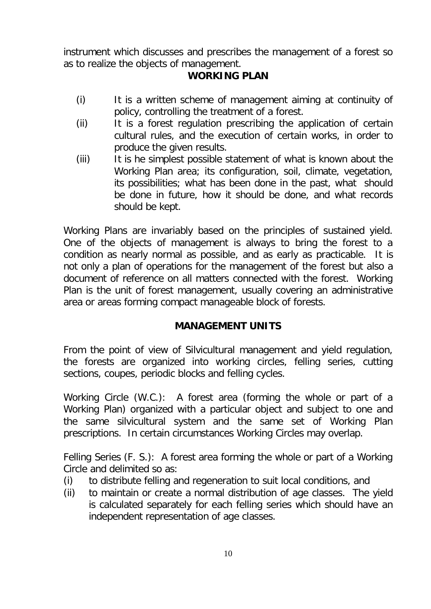instrument which discusses and prescribes the management of a forest so as to realize the objects of management.

# **WORKING PLAN**

- (i) It is a written scheme of management aiming at continuity of policy, controlling the treatment of a forest.
- (ii) It is a forest regulation prescribing the application of certain cultural rules, and the execution of certain works, in order to produce the given results.
- (iii) It is he simplest possible statement of what is known about the Working Plan area; its configuration, soil, climate, vegetation, its possibilities; what has been done in the past, what should be done in future, how it should be done, and what records should be kept.

Working Plans are invariably based on the principles of sustained yield. One of the objects of management is always to bring the forest to a condition as nearly normal as possible, and as early as practicable. It is not only a plan of operations for the management of the forest but also a document of reference on all matters connected with the forest. Working Plan is the unit of forest management, usually covering an administrative area or areas forming compact manageable block of forests.

## **MANAGEMENT UNITS**

From the point of view of Silvicultural management and yield regulation, the forests are organized into working circles, felling series, cutting sections, coupes, periodic blocks and felling cycles.

Working Circle (W.C.): A forest area (forming the whole or part of a Working Plan) organized with a particular object and subject to one and the same silvicultural system and the same set of Working Plan prescriptions. In certain circumstances Working Circles may overlap.

Felling Series (F. S.): A forest area forming the whole or part of a Working Circle and delimited so as:

- (i) to distribute felling and regeneration to suit local conditions, and
- (ii) to maintain or create a normal distribution of age classes. The yield is calculated separately for each felling series which should have an independent representation of age classes.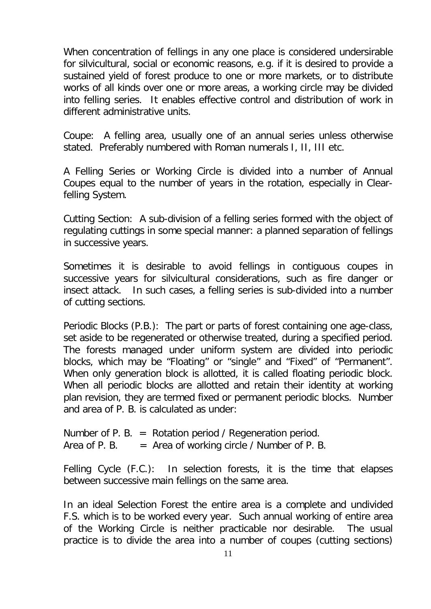When concentration of fellings in any one place is considered undersirable for silvicultural, social or economic reasons, e.g. if it is desired to provide a sustained yield of forest produce to one or more markets, or to distribute works of all kinds over one or more areas, a working circle may be divided into felling series. It enables effective control and distribution of work in different administrative units.

Coupe: A felling area, usually one of an annual series unless otherwise stated. Preferably numbered with Roman numerals I, II, III etc.

A Felling Series or Working Circle is divided into a number of Annual Coupes equal to the number of years in the rotation, especially in Clearfelling System.

Cutting Section: A sub-division of a felling series formed with the object of regulating cuttings in some special manner: a planned separation of fellings in successive years.

Sometimes it is desirable to avoid fellings in contiguous coupes in successive years for silvicultural considerations, such as fire danger or insect attack. In such cases, a felling series is sub-divided into a number of cutting sections.

Periodic Blocks (P.B.): The part or parts of forest containing one age-class, set aside to be regenerated or otherwise treated, during a specified period. The forests managed under uniform system are divided into periodic blocks, which may be "Floating" or "single" and "Fixed" of "Permanent". When only generation block is allotted, it is called floating periodic block. When all periodic blocks are allotted and retain their identity at working plan revision, they are termed fixed or permanent periodic blocks. Number and area of P. B. is calculated as under:

Number of P. B. = Rotation period / Regeneration period. Area of P. B.  $=$  Area of working circle / Number of P. B.

Felling Cycle (F.C.): In selection forests, it is the time that elapses between successive main fellings on the same area.

In an ideal Selection Forest the entire area is a complete and undivided F.S. which is to be worked every year. Such annual working of entire area of the Working Circle is neither practicable nor desirable. The usual practice is to divide the area into a number of coupes (cutting sections)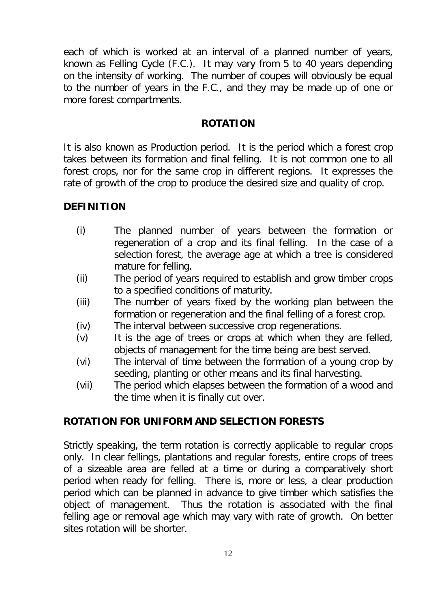each of which is worked at an interval of a planned number of years, known as Felling Cycle (F.C.). It may vary from 5 to 40 years depending on the intensity of working. The number of coupes will obviously be equal to the number of years in the F.C., and they may be made up of one or more forest compartments.

### **ROTATION**

It is also known as Production period. It is the period which a forest crop takes between its formation and final felling. It is not common one to all forest crops, nor for the same crop in different regions. It expresses the rate of growth of the crop to produce the desired size and quality of crop.

### **DEFINITION**

- (i) The planned number of years between the formation or regeneration of a crop and its final felling. In the case of a selection forest, the average age at which a tree is considered mature for felling.
- (ii) The period of years required to establish and grow timber crops to a specified conditions of maturity.
- (iii) The number of years fixed by the working plan between the formation or regeneration and the final felling of a forest crop.
- (iv) The interval between successive crop regenerations.
- (v) It is the age of trees or crops at which when they are felled, objects of management for the time being are best served.
- (vi) The interval of time between the formation of a young crop by seeding, planting or other means and its final harvesting.
- (vii) The period which elapses between the formation of a wood and the time when it is finally cut over.

## **ROTATION FOR UNIFORM AND SELECTION FORESTS**

Strictly speaking, the term rotation is correctly applicable to regular crops only. In clear fellings, plantations and regular forests, entire crops of trees of a sizeable area are felled at a time or during a comparatively short period when ready for felling. There is, more or less, a clear production period which can be planned in advance to give timber which satisfies the object of management. Thus the rotation is associated with the final felling age or removal age which may vary with rate of growth. On better sites rotation will be shorter.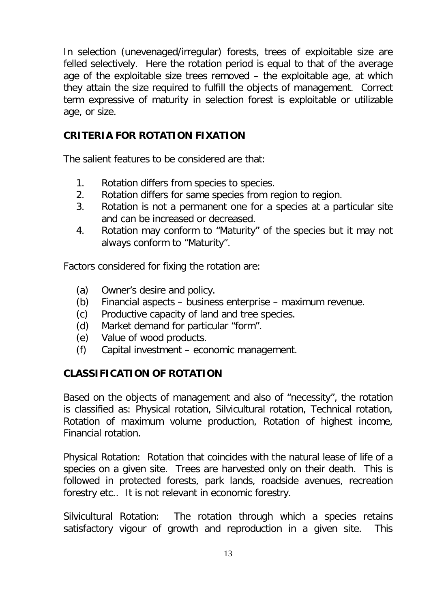In selection (unevenaged/irregular) forests, trees of exploitable size are felled selectively. Here the rotation period is equal to that of the average age of the exploitable size trees removed – the exploitable age, at which they attain the size required to fulfill the objects of management. Correct term expressive of maturity in selection forest is exploitable or utilizable age, or size.

## **CRITERIA FOR ROTATION FIXATION**

The salient features to be considered are that:

- 1. Rotation differs from species to species.
- 2. Rotation differs for same species from region to region.
- 3. Rotation is not a permanent one for a species at a particular site and can be increased or decreased.
- 4. Rotation may conform to "Maturity" of the species but it may not always conform to "Maturity".

Factors considered for fixing the rotation are:

- (a) Owner's desire and policy.
- (b) Financial aspects business enterprise maximum revenue.
- (c) Productive capacity of land and tree species.
- (d) Market demand for particular "form".
- (e) Value of wood products.
- (f) Capital investment economic management.

### **CLASSIFICATION OF ROTATION**

Based on the objects of management and also of "necessity", the rotation is classified as: Physical rotation, Silvicultural rotation, Technical rotation, Rotation of maximum volume production, Rotation of highest income, Financial rotation.

*Physical Rotation:* Rotation that coincides with the natural lease of life of a species on a given site. Trees are harvested only on their death. This is followed in protected forests, park lands, roadside avenues, recreation forestry etc.. It is not relevant in economic forestry.

*Silvicultural Rotation:* The rotation through which a species retains satisfactory vigour of growth and reproduction in a given site. This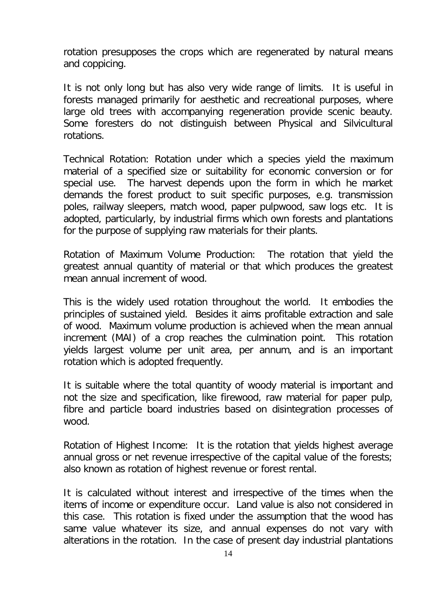rotation presupposes the crops which are regenerated by natural means and coppicing.

It is not only long but has also very wide range of limits. It is useful in forests managed primarily for aesthetic and recreational purposes, where large old trees with accompanying regeneration provide scenic beauty. Some foresters do not distinguish between Physical and Silvicultural rotations.

*Technical Rotation:* Rotation under which a species yield the maximum material of a specified size or suitability for economic conversion or for special use. The harvest depends upon the form in which he market demands the forest product to suit specific purposes, e.g. transmission poles, railway sleepers, match wood, paper pulpwood, saw logs etc. It is adopted, particularly, by industrial firms which own forests and plantations for the purpose of supplying raw materials for their plants.

*Rotation of Maximum Volume Production:* The rotation that yield the greatest annual quantity of material or that which produces the greatest mean annual increment of wood.

This is the widely used rotation throughout the world. It embodies the principles of sustained yield. Besides it aims profitable extraction and sale of wood. Maximum volume production is achieved when the mean annual increment (MAI) of a crop reaches the culmination point. This rotation yields largest volume per unit area, per annum, and is an important rotation which is adopted frequently.

It is suitable where the total quantity of woody material is important and not the size and specification, like firewood, raw material for paper pulp, fibre and particle board industries based on disintegration processes of wood.

*Rotation of Highest Income:* It is the rotation that yields highest average annual gross or net revenue irrespective of the capital value of the forests; also known as rotation of highest revenue or forest rental.

It is calculated without interest and irrespective of the times when the items of income or expenditure occur. Land value is also not considered in this case. This rotation is fixed under the assumption that the wood has same value whatever its size, and annual expenses do not vary with alterations in the rotation. In the case of present day industrial plantations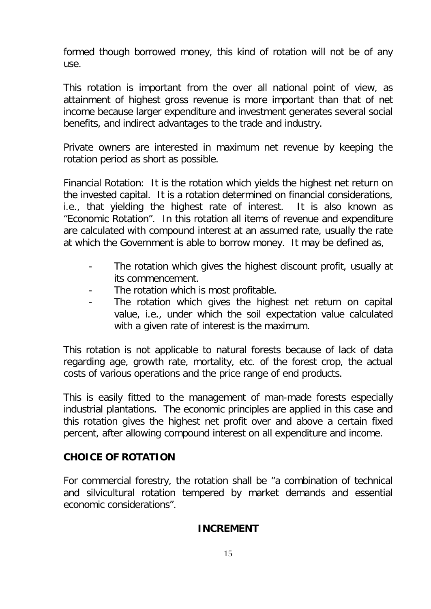formed though borrowed money, this kind of rotation will not be of any use.

This rotation is important from the over all national point of view, as attainment of highest gross revenue is more important than that of net income because larger expenditure and investment generates several social benefits, and indirect advantages to the trade and industry.

Private owners are interested in maximum net revenue by keeping the rotation period as short as possible.

*Financial Rotation*: It is the rotation which yields the highest net return on the invested capital. It is a rotation determined on financial considerations, i.e., that yielding the highest rate of interest. It is also known as "Economic Rotation". In this rotation all items of revenue and expenditure are calculated with compound interest at an assumed rate, usually the rate at which the Government is able to borrow money. It may be defined as,

- The rotation which gives the highest discount profit, usually at its commencement.
- The rotation which is most profitable.
- The rotation which gives the highest net return on capital value, i.e., under which the soil expectation value calculated with a given rate of interest is the maximum.

This rotation is not applicable to natural forests because of lack of data regarding age, growth rate, mortality, etc. of the forest crop, the actual costs of various operations and the price range of end products.

This is easily fitted to the management of man-made forests especially industrial plantations. The economic principles are applied in this case and this rotation gives the highest net profit over and above a certain fixed percent, after allowing compound interest on all expenditure and income.

## **CHOICE OF ROTATION**

For commercial forestry, the rotation shall be "a combination of technical and silvicultural rotation tempered by market demands and essential economic considerations".

## **INCREMENT**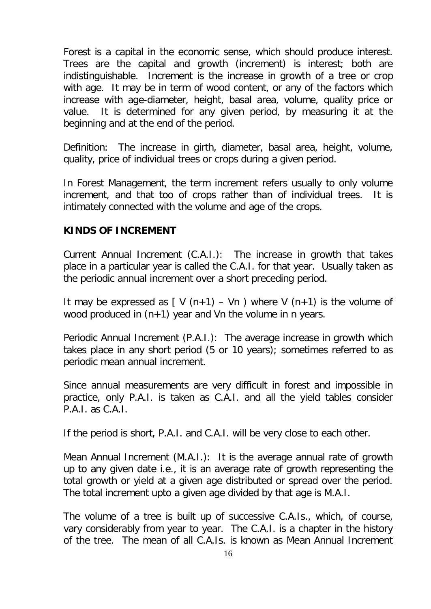Forest is a capital in the economic sense, which should produce interest. Trees are the capital and growth (increment) is interest; both are indistinguishable. Increment is the increase in growth of a tree or crop with age. It may be in term of wood content, or any of the factors which increase with age-diameter, height, basal area, volume, quality price or value. It is determined for any given period, by measuring it at the beginning and at the end of the period.

*Definition:* The increase in girth, diameter, basal area, height, volume, quality, price of individual trees or crops during a given period.

In Forest Management, the term increment refers usually to only volume increment, and that too of crops rather than of individual trees. It is intimately connected with the volume and age of the crops.

### **KINDS OF INCREMENT**

*Current Annual Increment* (C.A.I.): The increase in growth that takes place in a particular year is called the C.A.I. for that year. Usually taken as the periodic annual increment over a short preceding period.

It may be expressed as  $[V(n+1) - Vn]$  where V  $(n+1)$  is the volume of wood produced in  $(n+1)$  year and Vn the volume in n years.

*Periodic Annual Increment* (P.A.I.): The average increase in growth which takes place in any short period (5 or 10 years); sometimes referred to as periodic mean annual increment.

Since annual measurements are very difficult in forest and impossible in practice, only P.A.I. is taken as C.A.I. and all the yield tables consider P.A.I. as C.A.I.

If the period is short, P.A.I. and C.A.I. will be very close to each other.

*Mean Annual Increment* (M.A.I.): It is the average annual rate of growth up to any given date i.e., it is an average rate of growth representing the total growth or yield at a given age distributed or spread over the period. The total increment upto a given age divided by that age is M.A.I.

The volume of a tree is built up of successive C.A.Is., which, of course, vary considerably from year to year. The C.A.I. is a chapter in the history of the tree. The mean of all C.A.Is. is known as Mean Annual Increment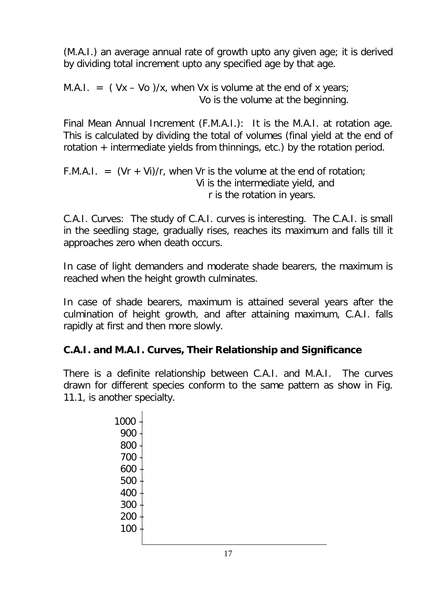(M.A.I.) an average annual rate of growth upto any given age; it is derived by dividing total increment upto any specified age by that age.

M.A.I.  $=$  (Vx – Vo )/x, when Vx is volume at the end of x years; Vo is the volume at the beginning.

*Final Mean Annual Increment* (F.M.A.I.): It is the M.A.I. at rotation age. This is calculated by dividing the total of volumes (final yield at the end of rotation + intermediate yields from thinnings, etc.) by the rotation period.

F.M.A.I.  $=$   $(Vr + Vi)/r$ , when Vr is the volume at the end of rotation; Vi is the intermediate yield, and r is the rotation in years.

*C.A.I. Curves*: The study of C.A.I. curves is interesting. The C.A.I. is small in the seedling stage, gradually rises, reaches its maximum and falls till it approaches zero when death occurs.

In case of light demanders and moderate shade bearers, the maximum is reached when the height growth culminates.

In case of shade bearers, maximum is attained several years after the culmination of height growth, and after attaining maximum, C.A.I. falls rapidly at first and then more slowly.

# **C.A.I. and M.A.I. Curves, Their Relationship and Significance**

There is a definite relationship between C.A.I. and M.A.I. The curves drawn for different species conform to the same pattern as show in Fig. 11.1, is another specialty.

> 1000 – 900 - 800 700 - 600 – 500 – 400 – 300 – 200 – 100 –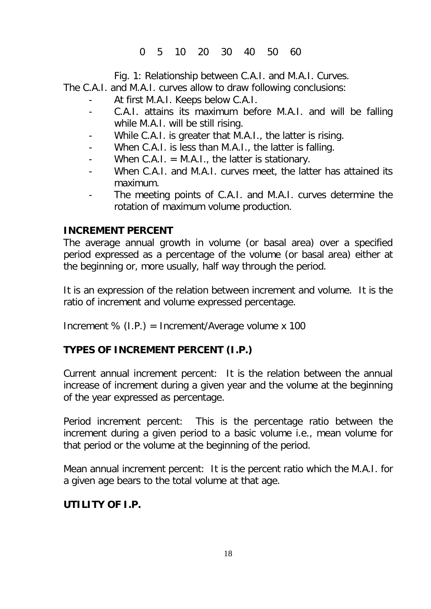0 5 10 20 30 40 50 60

Fig. 1: Relationship between C.A.I. and M.A.I. Curves.

The C.A.I. and M.A.I. curves allow to draw following conclusions:

- At first M.A.I. Keeps below C.A.I.
- C.A.I. attains its maximum before M.A.I. and will be falling while M.A.I. will be still rising.
- While C.A.I. is greater that M.A.I., the latter is rising.
- When C.A.I. is less than M.A.I., the latter is falling.
- When  $C.A.I. = M.A.I.$ , the latter is stationary.
- When C.A.I. and M.A.I. curves meet, the latter has attained its maximum.
- The meeting points of C.A.I. and M.A.I. curves determine the rotation of maximum volume production.

# **INCREMENT PERCENT**

The average annual growth in volume (or basal area) over a specified period expressed as a percentage of the volume (or basal area) either at the beginning or, more usually, half way through the period.

It is an expression of the relation between increment and volume. It is the ratio of increment and volume expressed percentage.

Increment  $% (I.P.) = Increment/Average volume x 100$ 

# **TYPES OF INCREMENT PERCENT (I.P.)**

*Current annual increment percent*: It is the relation between the annual increase of increment during a given year and the volume at the beginning of the year expressed as percentage.

*Period increment percent*: This is the percentage ratio between the increment during a given period to a basic volume i.e., mean volume for that period or the volume at the beginning of the period.

*Mean annual increment percent*: It is the percent ratio which the M.A.I. for a given age bears to the total volume at that age.

# **UTILITY OF I.P.**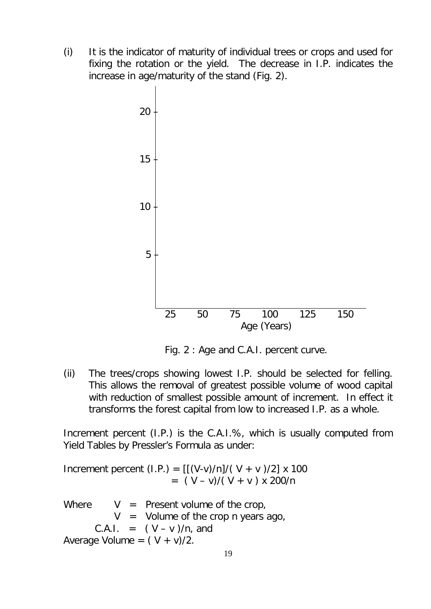(i) It is the indicator of maturity of individual trees or crops and used for fixing the rotation or the yield. The decrease in I.P. indicates the increase in age/maturity of the stand (Fig. 2).



Fig. 2 : Age and C.A.I. percent curve.

(ii) The trees/crops showing lowest I.P. should be selected for felling. This allows the removal of greatest possible volume of wood capital with reduction of smallest possible amount of increment. In effect it transforms the forest capital from low to increased I.P. as a whole.

Increment percent (I.P.) is the C.A.I.%, which is usually computed from Yield Tables by Pressler's Formula as under:

Increment percent (I.P.) =  $[(V-v)/n]/(V + v)/2] \times 100$  $=$   $(V - v)/(V + v) \times 200/n$ 

Where  $V =$  Present volume of the crop,  $V =$  Volume of the crop n years ago, C.A.I. =  $(V - v)/n$ , and Average Volume =  $(V + v)/2$ .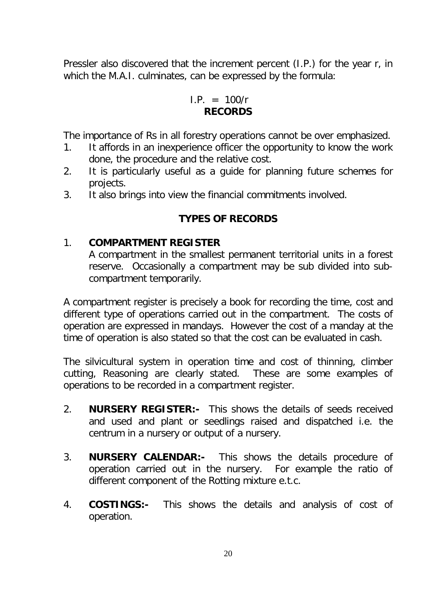Pressler also discovered that the increment percent (I.P.) for the year r, in which the M.A.I. culminates, can be expressed by the formula:

> $I.P. = 100/r$ **RECORDS**

The importance of Rs in all forestry operations cannot be over emphasized.

- 1. It affords in an inexperience officer the opportunity to know the work done, the procedure and the relative cost.
- 2. It is particularly useful as a guide for planning future schemes for projects.
- 3. It also brings into view the financial commitments involved.

### **TYPES OF RECORDS**

#### 1. **COMPARTMENT REGISTER**

A compartment in the smallest permanent territorial units in a forest reserve. Occasionally a compartment may be sub divided into subcompartment temporarily.

A compartment register is precisely a book for recording the time, cost and different type of operations carried out in the compartment. The costs of operation are expressed in mandays. However the cost of a manday at the time of operation is also stated so that the cost can be evaluated in cash.

The silvicultural system in operation time and cost of thinning, climber cutting, Reasoning are clearly stated. These are some examples of operations to be recorded in a compartment register.

- 2. **NURSERY REGISTER:-** This shows the details of seeds received and used and plant or seedlings raised and dispatched i.e. the centrum in a nursery or output of a nursery.
- 3. **NURSERY CALENDAR:-** This shows the details procedure of operation carried out in the nursery. For example the ratio of different component of the Rotting mixture e.t.c.
- 4. **COSTINGS:-** This shows the details and analysis of cost of operation.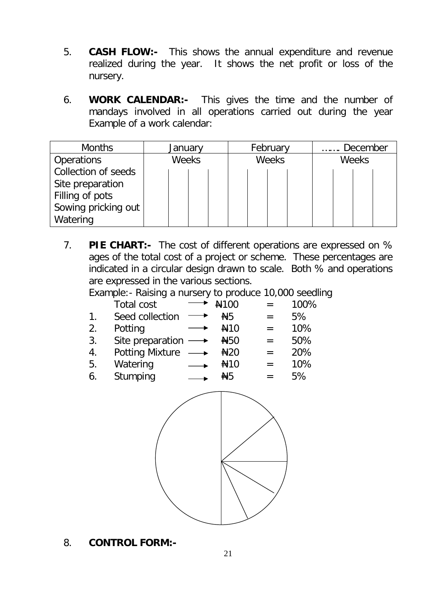- 5. **CASH FLOW:-** This shows the annual expenditure and revenue realized during the year. It shows the net profit or loss of the nursery.
- 6. **WORK CALENDAR:-** This gives the time and the number of mandays involved in all operations carried out during the year Example of a work calendar:

| <b>Months</b>       | January      | February     | December     |  |
|---------------------|--------------|--------------|--------------|--|
| <b>Operations</b>   | <b>Weeks</b> | <b>Weeks</b> | <b>Weeks</b> |  |
| Collection of seeds |              |              |              |  |
| Site preparation    |              |              |              |  |
| Filling of pots     |              |              |              |  |
| Sowing pricking out |              |              |              |  |
| Watering            |              |              |              |  |

7. **PIE CHART:-** The cost of different operations are expressed on % ages of the total cost of a project or scheme. These percentages are indicated in a circular design drawn to scale. Both % and operations are expressed in the various sections.

Example:- Raising a nursery to produce 10,000 seedling

| Total cost                           | $\rightarrow$ #100    | $=$               | 100% |
|--------------------------------------|-----------------------|-------------------|------|
| Seed collection $\longrightarrow$ #5 |                       | $=$               | .5%  |
| 2. Potting                           | $\longrightarrow$ #10 | $\equiv$ $\equiv$ | 10%  |

- 3. Site preparation  $\longrightarrow$   $\frac{1}{2}50$  = 50%
- 4. Potting Mixture  $\longrightarrow$   $\frac{120}{120}$  = 20%
- 5. Watering  $\longrightarrow$  #10 = 10%
- 6. Stumping  $\longrightarrow$   $\frac{145}{15}$  = 5%



8. **CONTROL FORM:-**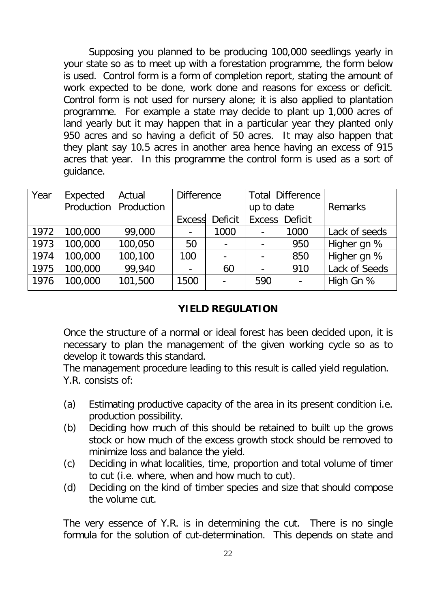Supposing you planned to be producing 100,000 seedlings yearly in your state so as to meet up with a forestation programme, the form below is used. Control form is a form of completion report, stating the amount of work expected to be done, work done and reasons for excess or deficit. Control form is not used for nursery alone; it is also applied to plantation programme. For example a state may decide to plant up 1,000 acres of land yearly but it may happen that in a particular year they planted only 950 acres and so having a deficit of 50 acres. It may also happen that they plant say 10.5 acres in another area hence having an excess of 915 acres that year. In this programme the control form is used as a sort of guidance.

| Year | Expected   | Actual     | <b>Difference</b> |                |                              | <b>Total Difference</b> |               |
|------|------------|------------|-------------------|----------------|------------------------------|-------------------------|---------------|
|      | Production | Production |                   |                | up to date                   |                         | Remarks       |
|      |            |            | <b>Excess</b>     | <b>Deficit</b> | Excess                       | <b>Deficit</b>          |               |
| 1972 | 100,000    | 99,000     |                   | 1000           | $\qquad \qquad \blacksquare$ | 1000                    | Lack of seeds |
| 1973 | 100,000    | 100,050    | 50                |                |                              | 950                     | Higher gn %   |
| 1974 | 100,000    | 100,100    | 100               |                |                              | 850                     | Higher gn %   |
| 1975 | 100,000    | 99,940     |                   | 60             | $\blacksquare$               | 910                     | Lack of Seeds |
| 1976 | 100,000    | 101,500    | 1500              |                | 590                          |                         | High Gn %     |

### **YIELD REGULATION**

Once the structure of a normal or ideal forest has been decided upon, it is necessary to plan the management of the given working cycle so as to develop it towards this standard.

The management procedure leading to this result is called yield regulation. Y.R. consists of:

- (a) Estimating productive capacity of the area in its present condition i.e. production possibility.
- (b) Deciding how much of this should be retained to built up the grows stock or how much of the excess growth stock should be removed to minimize loss and balance the yield.
- (c) Deciding in what localities, time, proportion and total volume of timer to cut (i.e. where, when and how much to cut).
- (d) Deciding on the kind of timber species and size that should compose the volume cut.

The very essence of Y.R. is in determining the cut. There is no single formula for the solution of cut-determination. This depends on state and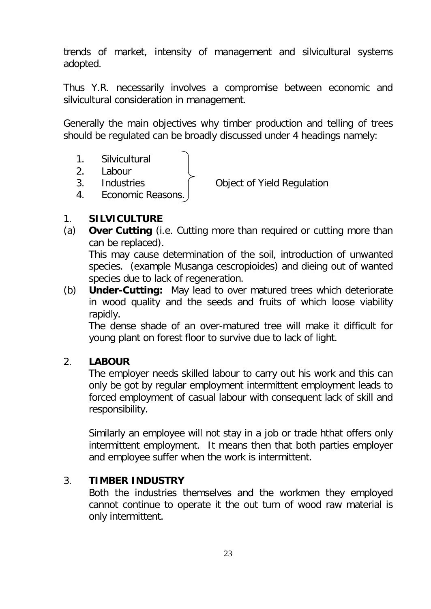trends of market, intensity of management and silvicultural systems adopted.

Thus Y.R. necessarily involves a compromise between economic and silvicultural consideration in management.

Generally the main objectives why timber production and telling of trees should be regulated can be broadly discussed under 4 headings namely:

- 1. Silvicultural
- 2. Labour
- 

3. Industries Object of Yield Regulation

4. Economic Reasons.

### 1. **SILVICULTURE**

(a) **Over Cutting** (i.e. Cutting more than required or cutting more than can be replaced).

This may cause determination of the soil, introduction of unwanted species. (example Musanga cescropioides) and dieing out of wanted species due to lack of regeneration.

(b) **Under-Cutting:** May lead to over matured trees which deteriorate in wood quality and the seeds and fruits of which loose viability rapidly.

The dense shade of an over-matured tree will make it difficult for young plant on forest floor to survive due to lack of light.

## 2. **LABOUR**

The employer needs skilled labour to carry out his work and this can only be got by regular employment intermittent employment leads to forced employment of casual labour with consequent lack of skill and responsibility.

Similarly an employee will not stay in a job or trade hthat offers only intermittent employment. It means then that both parties employer and employee suffer when the work is intermittent.

### 3. **TIMBER INDUSTRY**

Both the industries themselves and the workmen they employed cannot continue to operate it the out turn of wood raw material is only intermittent.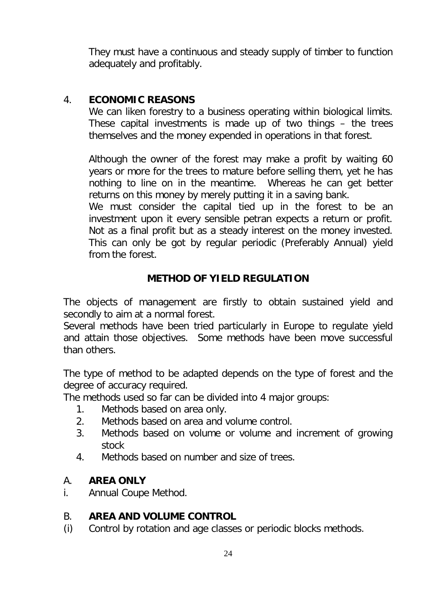They must have a continuous and steady supply of timber to function adequately and profitably.

## 4. **ECONOMIC REASONS**

We can liken forestry to a business operating within biological limits. These capital investments is made up of two things – the trees themselves and the money expended in operations in that forest.

Although the owner of the forest may make a profit by waiting 60 years or more for the trees to mature before selling them, yet he has nothing to line on in the meantime. Whereas he can get better returns on this money by merely putting it in a saving bank.

We must consider the capital tied up in the forest to be an investment upon it every sensible petran expects a return or profit. Not as a final profit but as a steady interest on the money invested. This can only be got by regular periodic (Preferably Annual) yield from the forest.

# **METHOD OF YIELD REGULATION**

The objects of management are firstly to obtain sustained yield and secondly to aim at a normal forest.

Several methods have been tried particularly in Europe to regulate yield and attain those objectives. Some methods have been move successful than others.

The type of method to be adapted depends on the type of forest and the degree of accuracy required.

The methods used so far can be divided into 4 major groups:

- 1. Methods based on area only.
- 2. Methods based on area and volume control.
- 3. Methods based on volume or volume and increment of growing stock
- 4. Methods based on number and size of trees.

### A. **AREA ONLY**

i. Annual Coupe Method.

## B. **AREA AND VOLUME CONTROL**

(i) Control by rotation and age classes or periodic blocks methods.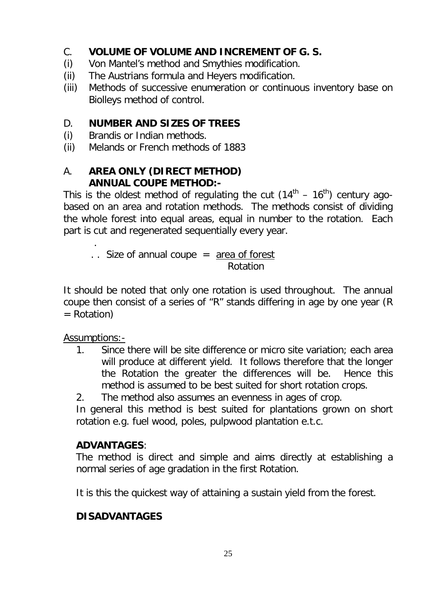## C. **VOLUME OF VOLUME AND INCREMENT OF G. S.**

- (i) Von Mantel's method and Smythies modification.
- (ii) The Austrians formula and Heyers modification.
- (iii) Methods of successive enumeration or continuous inventory base on Biolleys method of control.

## D. **NUMBER AND SIZES OF TREES**

- (i) Brandis or Indian methods.
- (ii) Melands or French methods of 1883

## A. **AREA ONLY (DIRECT METHOD) ANNUAL COUPE METHOD:-**

This is the oldest method of regulating the cut  $(14^{th} - 16^{th})$  century agobased on an area and rotation methods. The methods consist of dividing the whole forest into equal areas, equal in number to the rotation. Each part is cut and regenerated sequentially every year.

 .  $\therefore$  Size of annual coupe = area of forest Rotation

It should be noted that only one rotation is used throughout. The annual coupe then consist of a series of "R" stands differing in age by one year (R = Rotation)

Assumptions:-

1. Since there will be site difference or micro site variation; each area will produce at different yield. It follows therefore that the longer the Rotation the greater the differences will be. Hence this method is assumed to be best suited for short rotation crops.

2. The method also assumes an evenness in ages of crop.

In general this method is best suited for plantations grown on short rotation e.g. fuel wood, poles, pulpwood plantation e.t.c.

## **ADVANTAGES**:

The method is direct and simple and aims directly at establishing a normal series of age gradation in the first Rotation.

It is this the quickest way of attaining a sustain yield from the forest.

# **DISADVANTAGES**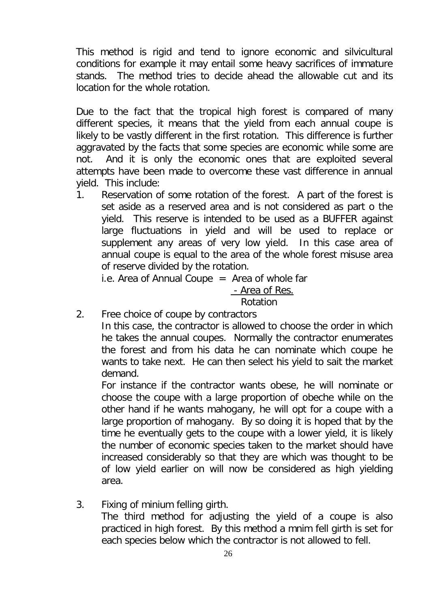This method is rigid and tend to ignore economic and silvicultural conditions for example it may entail some heavy sacrifices of immature stands. The method tries to decide ahead the allowable cut and its location for the whole rotation.

Due to the fact that the tropical high forest is compared of many different species, it means that the yield from each annual coupe is likely to be vastly different in the first rotation. This difference is further aggravated by the facts that some species are economic while some are not. And it is only the economic ones that are exploited several attempts have been made to overcome these vast difference in annual yield. This include:

1. Reservation of some rotation of the forest. A part of the forest is set aside as a reserved area and is not considered as part o the yield. This reserve is intended to be used as a BUFFER against large fluctuations in yield and will be used to replace or supplement any areas of very low yield. In this case area of annual coupe is equal to the area of the whole forest misuse area of reserve divided by the rotation.

i.e. Area of Annual Coupe  $=$  Area of whole far

# - Area of Res.

## Rotation

2. Free choice of coupe by contractors

In this case, the contractor is allowed to choose the order in which he takes the annual coupes. Normally the contractor enumerates the forest and from his data he can nominate which coupe he wants to take next. He can then select his yield to sait the market demand.

For instance if the contractor wants obese, he will nominate or choose the coupe with a large proportion of obeche while on the other hand if he wants mahogany, he will opt for a coupe with a large proportion of mahogany. By so doing it is hoped that by the time he eventually gets to the coupe with a lower yield, it is likely the number of economic species taken to the market should have increased considerably so that they are which was thought to be of low yield earlier on will now be considered as high yielding area.

3. Fixing of minium felling girth.

The third method for adjusting the yield of a coupe is also practiced in high forest. By this method a mnim fell girth is set for each species below which the contractor is not allowed to fell.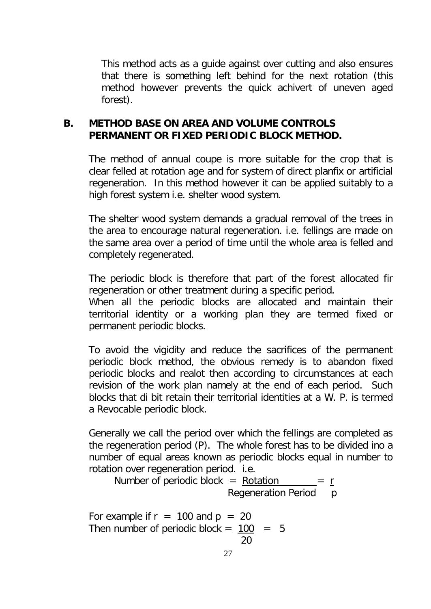This method acts as a guide against over cutting and also ensures that there is something left behind for the next rotation (this method however prevents the quick achivert of uneven aged forest).

### **B. METHOD BASE ON AREA AND VOLUME CONTROLS PERMANENT OR FIXED PERIODIC BLOCK METHOD.**

The method of annual coupe is more suitable for the crop that is clear felled at rotation age and for system of direct planfix or artificial regeneration. In this method however it can be applied suitably to a high forest system i.e. shelter wood system.

The shelter wood system demands a gradual removal of the trees in the area to encourage natural regeneration. i.e. fellings are made on the same area over a period of time until the whole area is felled and completely regenerated.

The periodic block is therefore that part of the forest allocated fir regeneration or other treatment during a specific period.

When all the periodic blocks are allocated and maintain their territorial identity or a working plan they are termed fixed or permanent periodic blocks.

To avoid the vigidity and reduce the sacrifices of the permanent periodic block method, the obvious remedy is to abandon fixed periodic blocks and realot then according to circumstances at each revision of the work plan namely at the end of each period. Such blocks that di bit retain their territorial identities at a W. P. is termed a Revocable periodic block.

Generally we call the period over which the fellings are completed as the regeneration period (P). The whole forest has to be divided ino a number of equal areas known as periodic blocks equal in number to rotation over regeneration period. i.e.

Number of periodic block  $=$  Rotation Regeneration Period p

For example if  $r = 100$  and  $p = 20$ Then number of periodic block =  $100 = 5$ 20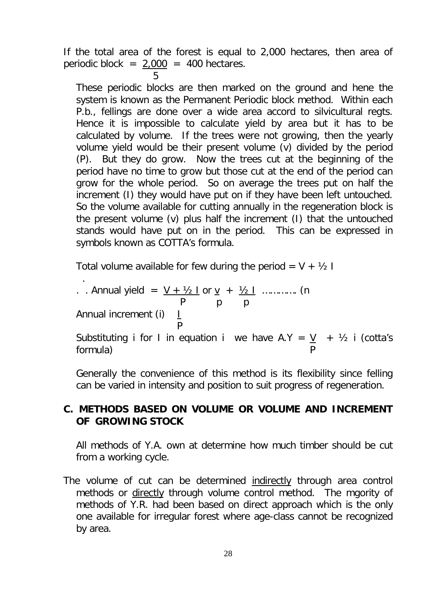If the total area of the forest is equal to 2,000 hectares, then area of periodic block =  $2,000 = 400$  hectares.

 $5<sub>5</sub>$ These periodic blocks are then marked on the ground and hene the system is known as the Permanent Periodic block method. Within each P.b., fellings are done over a wide area accord to silvicultural regts. Hence it is impossible to calculate yield by area but it has to be calculated by volume. If the trees were not growing, then the yearly volume yield would be their present volume (v) divided by the period (P). But they do grow. Now the trees cut at the beginning of the period have no time to grow but those cut at the end of the period can grow for the whole period. So on average the trees put on half the increment (I) they would have put on if they have been left untouched. So the volume available for cutting annually in the regeneration block is the present volume (v) plus half the increment (I) that the untouched stands would have put on in the period. This can be expressed in symbols known as COTTA's formula.

Total volume available for few during the period =  $V + V_2$  I

\n- Annual yield = 
$$
\frac{V + V_2 \cdot I}{P}
$$
 or  $\frac{V}{P} + \frac{V_2 \cdot I}{P}$  ....... (n  $P$   $P$   $P$
\n- Annual increment (i)  $\frac{I}{P}$
\n- Substituting i for I in equation i we have A.Y =  $\frac{V}{P} + V_2$  i (cotta's formula)
\n

Generally the convenience of this method is its flexibility since felling can be varied in intensity and position to suit progress of regeneration.

### **C. METHODS BASED ON VOLUME OR VOLUME AND INCREMENT OF GROWING STOCK**

All methods of Y.A. own at determine how much timber should be cut from a working cycle.

The volume of cut can be determined *indirectly* through area control methods or directly through volume control method. The mgority of methods of Y.R. had been based on direct approach which is the only one available for irregular forest where age-class cannot be recognized by area.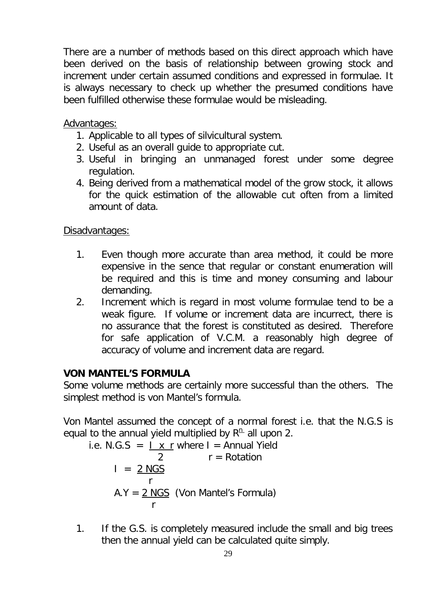There are a number of methods based on this direct approach which have been derived on the basis of relationship between growing stock and increment under certain assumed conditions and expressed in formulae. It is always necessary to check up whether the presumed conditions have been fulfilled otherwise these formulae would be misleading.

### Advantages:

- 1. Applicable to all types of silvicultural system.
- 2. Useful as an overall guide to appropriate cut.
- 3. Useful in bringing an unmanaged forest under some degree regulation.
- 4. Being derived from a mathematical model of the grow stock, it allows for the quick estimation of the allowable cut often from a limited amount of data.

### Disadvantages:

- 1. Even though more accurate than area method, it could be more expensive in the sence that regular or constant enumeration will be required and this is time and money consuming and labour demanding.
- 2. Increment which is regard in most volume formulae tend to be a weak figure. If volume or increment data are incurrect, there is no assurance that the forest is constituted as desired. Therefore for safe application of V.C.M. a reasonably high degree of accuracy of volume and increment data are regard.

## **VON MANTEL'S FORMULA**

Some volume methods are certainly more successful than the others. The simplest method is von Mantel's formula.

Von Mantel assumed the concept of a normal forest i.e. that the N.G.S is equal to the annual yield multiplied by  $R<sup>n</sup>$  all upon 2.

i.e. N.G.S = 
$$
\frac{I x r}{2}
$$
 where I = Annual Yield  
\n
$$
I = \frac{2 \text{ NGS}}{r}
$$
\nA.Y =  $\frac{2 \text{ NGS}}{r}$  (Von Mantel's Formula)

1. If the G.S. is completely measured include the small and big trees then the annual yield can be calculated quite simply.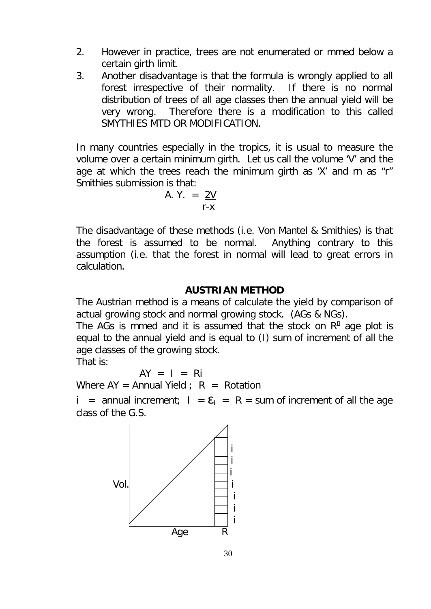- 2. However in practice, trees are not enumerated or mmed below a certain girth limit.
- 3. Another disadvantage is that the formula is wrongly applied to all forest irrespective of their normality. If there is no normal distribution of trees of all age classes then the annual yield will be very wrong. Therefore there is a modification to this called SMYTHIES MTD OR MODIFICATION.

In many countries especially in the tropics, it is usual to measure the volume over a certain minimum girth. Let us call the volume 'V' and the age at which the trees reach the minimum girth as 'X' and rn as "r" Smithies submission is that:

A. Y. 
$$
= \frac{2V}{r-x}
$$

The disadvantage of these methods (i.e. Von Mantel & Smithies) is that the forest is assumed to be normal. Anything contrary to this assumption (i.e. that the forest in normal will lead to great errors in calculation.

### **AUSTRIAN METHOD**

The Austrian method is a means of calculate the yield by comparison of actual growing stock and normal growing stock. (AGs & NGs).

The AGs is mmed and it is assumed that the stock on  $R<sup>n</sup>$  age plot is equal to the annual yield and is equal to (I) sum of increment of all the age classes of the growing stock.

That is:

$$
AY = I = Ri
$$

Where  $AY =$  Annual Yield ;  $R =$  Rotation

i = annual increment;  $I = \mathbf{\Sigma} = R = \text{sum of increment of all the age}$ class of the G.S.

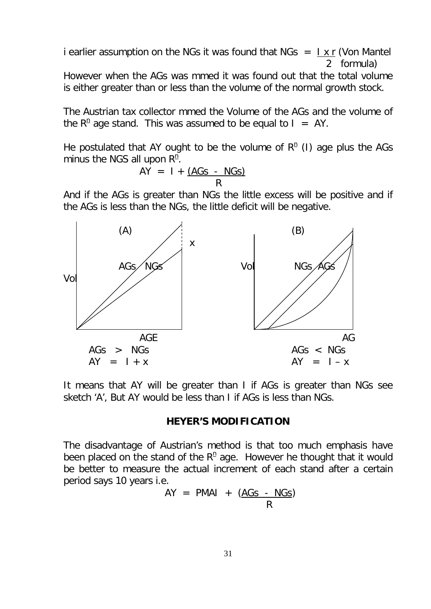i earlier assumption on the NGs it was found that NGs  $= \frac{1 \times r}{r}$  (Von Mantel 2 formula)

However when the AGs was mmed it was found out that the total volume is either greater than or less than the volume of the normal growth stock.

The Austrian tax collector mmed the Volume of the AGs and the volume of the  $R<sup>n</sup>$  age stand. This was assumed to be equal to  $I = AY$ .

He postulated that AY ought to be the volume of  $R<sup>n</sup>$  (I) age plus the AGs minus the NGS all upon  $R<sup>n</sup>$ .

$$
AY = I + \underbrace{(AGs - NGs)}{R}
$$

And if the AGs is greater than NGs the little excess will be positive and if the AGs is less than the NGs, the little deficit will be negative.



It means that AY will be greater than I if AGs is greater than NGs see sketch 'A', But AY would be less than I if AGs is less than NGs.

#### **HEYER'S MODIFICATION**

The disadvantage of Austrian's method is that too much emphasis have been placed on the stand of the  $R<sup>n</sup>$  age. However he thought that it would be better to measure the actual increment of each stand after a certain period says 10 years i.e.

$$
AY = PMAI + (AGs - NGs)
$$
  
R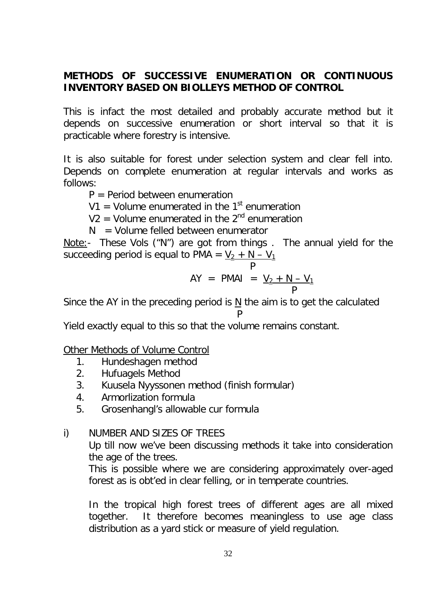## **METHODS OF SUCCESSIVE ENUMERATION OR CONTINUOUS INVENTORY BASED ON BIOLLEYS METHOD OF CONTROL**

This is infact the most detailed and probably accurate method but it depends on successive enumeration or short interval so that it is practicable where forestry is intensive.

It is also suitable for forest under selection system and clear fell into. Depends on complete enumeration at regular intervals and works as follows:

 $P =$  Period between enumeration

V1 = Volume enumerated in the 1<sup>st</sup> enumeration

 $V2 =$  Volume enumerated in the  $2<sup>nd</sup>$  enumeration

 $N =$  Volume felled between enumerator

Note:- These Vols ("N") are got from things . The annual yield for the succeeding period is equal to PMA =  $\underline{V_2 + N - V_1}$ 

$$
AY = PMAI = \underline{V_2 + N - V_1}
$$

Since the AY in the preceding period is  $\underline{N}$  the aim is to get the calculated

$$
\qquad \qquad \mathsf{P}
$$

Yield exactly equal to this so that the volume remains constant.

Other Methods of Volume Control

- 1. Hundeshagen method
- 2. Hufuagels Method
- 3. Kuusela Nyyssonen method (finish formular)
- 4. Armorlization formula
- 5. Grosenhangl's allowable cur formula

## i) NUMBER AND SIZES OF TREES

Up till now we've been discussing methods it take into consideration the age of the trees.

This is possible where we are considering approximately over-aged forest as is obt'ed in clear felling, or in temperate countries.

In the tropical high forest trees of different ages are all mixed together. It therefore becomes meaningless to use age class distribution as a yard stick or measure of yield regulation.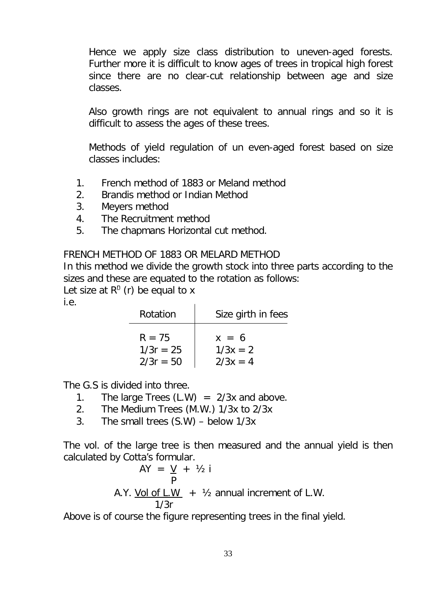Hence we apply size class distribution to uneven-aged forests. Further more it is difficult to know ages of trees in tropical high forest since there are no clear-cut relationship between age and size classes.

Also growth rings are not equivalent to annual rings and so it is difficult to assess the ages of these trees.

Methods of yield regulation of un even-aged forest based on size classes includes:

- 1. French method of 1883 or Meland method
- 2. Brandis method or Indian Method
- 3. Meyers method
- 4. The Recruitment method
- 5. The chapmans Horizontal cut method.

FRENCH METHOD OF 1883 OR MELARD METHOD

In this method we divide the growth stock into three parts according to the sizes and these are equated to the rotation as follows:

Let size at  $R^{\text{n}}$  (r) be equal to x

i.e.

| Rotation    | Size girth in fees |
|-------------|--------------------|
| $R = 75$    | $x = 6$            |
| $1/3r = 25$ | $1/3x = 2$         |
| $2/3r = 50$ | $2/3x = 4$         |

The G.S is divided into three.

- 1. The large Trees  $(L.W) = 2/3x$  and above.
- 2. The Medium Trees (M.W.) 1/3x to 2/3x
- 3. The small trees (S.W) below 1/3x

The vol. of the large tree is then measured and the annual yield is then calculated by Cotta's formular.

$$
AY = \frac{V}{P} + \frac{1}{2}i
$$
  
A.Y. Vol of L.W +  $\frac{1}{3}$  annual increment of L.W.  
1/3r

Above is of course the figure representing trees in the final yield.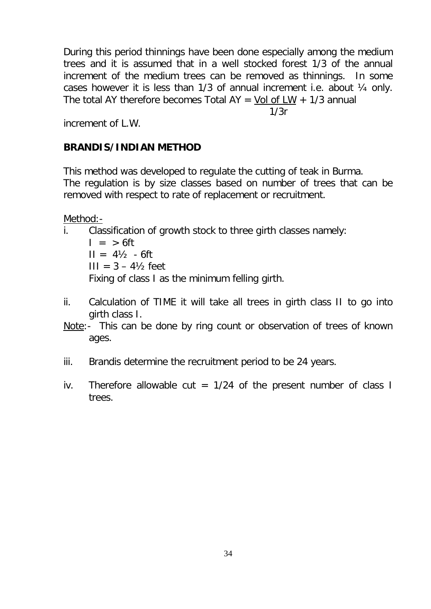During this period thinnings have been done especially among the medium trees and it is assumed that in a well stocked forest 1/3 of the annual increment of the medium trees can be removed as thinnings. In some cases however it is less than  $1/3$  of annual increment i.e. about  $\frac{1}{4}$  only. The total AY therefore becomes Total AY = Vol of  $LW + 1/3$  annual

1/3r

increment of L.W.

### **BRANDIS/INDIAN METHOD**

This method was developed to regulate the cutting of teak in Burma. The regulation is by size classes based on number of trees that can be removed with respect to rate of replacement or recruitment.

Method:-

- i. Classification of growth stock to three girth classes namely:
	- $I = > 6$ ft  $II = 4\frac{1}{2} - 6ft$  $III = 3 - 4\frac{1}{2}$  feet Fixing of class I as the minimum felling girth.
- ii. Calculation of TIME it will take all trees in girth class II to go into girth class I.
- Note:- This can be done by ring count or observation of trees of known ages.
- iii. Brandis determine the recruitment period to be 24 years.
- iv. Therefore allowable cut =  $1/24$  of the present number of class I trees.